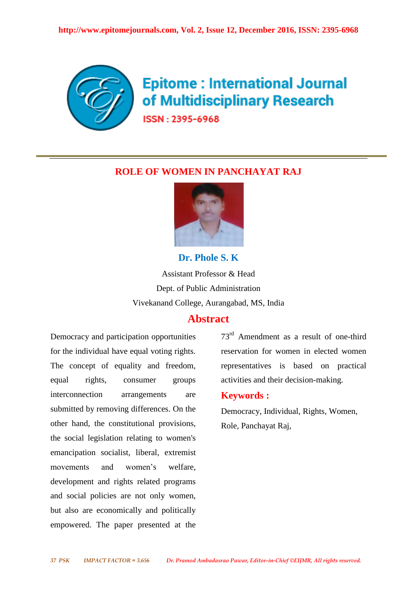

# **Epitome: International Journal** of Multidisciplinary Research

ISSN: 2395-6968

# **ROLE OF WOMEN IN PANCHAYAT RAJ**



Assistant Professor & Head Dept. of Public Administration Vivekanand College, Aurangabad, MS, India

**Dr. Phole S. K**

# **Abstract**

Democracy and participation opportunities for the individual have equal voting rights. The concept of equality and freedom, equal rights, consumer groups interconnection arrangements are submitted by removing differences. On the other hand, the constitutional provisions, the social legislation relating to women's emancipation socialist, liberal, extremist movements and women's welfare, development and rights related programs and social policies are not only women, but also are economically and politically empowered. The paper presented at the 73rd Amendment as a result of one-third reservation for women in elected women representatives is based on practical activities and their decision-making.

## **Keywords :**

Democracy, Individual, Rights, Women, Role, Panchayat Raj,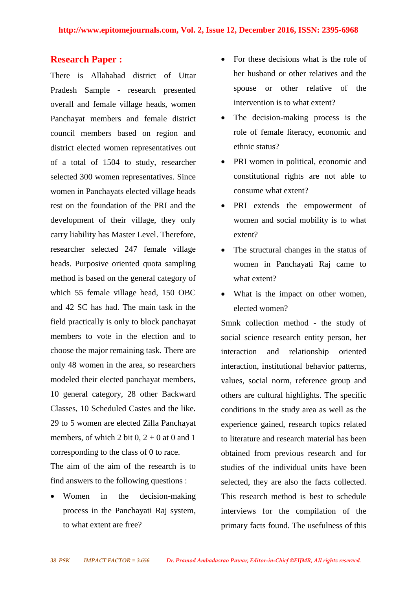## **Research Paper :**

There is Allahabad district of Uttar Pradesh Sample - research presented overall and female village heads, women Panchayat members and female district council members based on region and district elected women representatives out of a total of 1504 to study, researcher selected 300 women representatives. Since women in Panchayats elected village heads rest on the foundation of the PRI and the development of their village, they only carry liability has Master Level. Therefore, researcher selected 247 female village heads. Purposive oriented quota sampling method is based on the general category of which 55 female village head, 150 OBC and 42 SC has had. The main task in the field practically is only to block panchayat members to vote in the election and to choose the major remaining task. There are only 48 women in the area, so researchers modeled their elected panchayat members, 10 general category, 28 other Backward Classes, 10 Scheduled Castes and the like. 29 to 5 women are elected Zilla Panchayat members, of which 2 bit  $0, 2 + 0$  at 0 and 1 corresponding to the class of 0 to race.

The aim of the aim of the research is to find answers to the following questions :

• Women in the decision-making process in the Panchayati Raj system, to what extent are free?

- For these decisions what is the role of her husband or other relatives and the spouse or other relative of the intervention is to what extent?
- The decision-making process is the role of female literacy, economic and ethnic status?
- PRI women in political, economic and constitutional rights are not able to consume what extent?
- PRI extends the empowerment of women and social mobility is to what extent?
- The structural changes in the status of women in Panchayati Raj came to what extent?
- What is the impact on other women, elected women?

Smnk collection method - the study of social science research entity person, her interaction and relationship oriented interaction, institutional behavior patterns, values, social norm, reference group and others are cultural highlights. The specific conditions in the study area as well as the experience gained, research topics related to literature and research material has been obtained from previous research and for studies of the individual units have been selected, they are also the facts collected. This research method is best to schedule interviews for the compilation of the primary facts found. The usefulness of this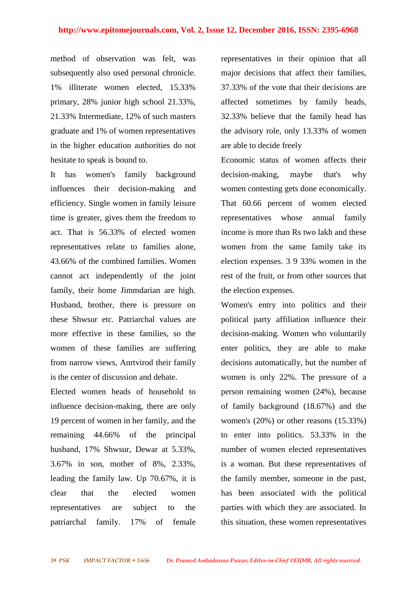#### **http://www.epitomejournals.com, Vol. 2, Issue 12, December 2016, ISSN: 2395-6968**

method of observation was felt, was subsequently also used personal chronicle. 1% illiterate women elected, 15.33% primary, 28% junior high school 21.33%, 21.33% Intermediate, 12% of such masters graduate and 1% of women representatives in the higher education authorities do not hesitate to speak is bound to.

It has women's family background influences their decision-making and efficiency. Single women in family leisure time is greater, gives them the freedom to act. That is 56.33% of elected women representatives relate to families alone, 43.66% of the combined families. Women cannot act independently of the joint family, their home Jimmdarian are high. Husband, brother, there is pressure on these Shwsur etc. Patriarchal values are more effective in these families, so the women of these families are suffering from narrow views, Anrtvirod their family is the center of discussion and debate.

Elected women heads of household to influence decision-making, there are only 19 percent of women in her family, and the remaining 44.66% of the principal husband, 17% Shwsur, Dewar at 5.33%, 3.67% in son, mother of 8%, 2.33%, leading the family law. Up 70.67%, it is clear that the elected women representatives are subject to the patriarchal family. 17% of female

representatives in their opinion that all major decisions that affect their families, 37.33% of the vote that their decisions are affected sometimes by family heads, 32.33% believe that the family head has the advisory role, only 13.33% of women are able to decide freely

Economic status of women affects their decision-making, maybe that's why women contesting gets done economically. That 60.66 percent of women elected representatives whose annual family income is more than Rs two lakh and these women from the same family take its election expenses. 3 9 33% women in the rest of the fruit, or from other sources that the election expenses.

Women's entry into politics and their political party affiliation influence their decision-making. Women who voluntarily enter politics, they are able to make decisions automatically, but the number of women is only 22%. The pressure of a person remaining women (24%), because of family background (18.67%) and the women's (20%) or other reasons (15.33%) to enter into politics. 53.33% in the number of women elected representatives is a woman. But these representatives of the family member, someone in the past, has been associated with the political parties with which they are associated. In this situation, these women representatives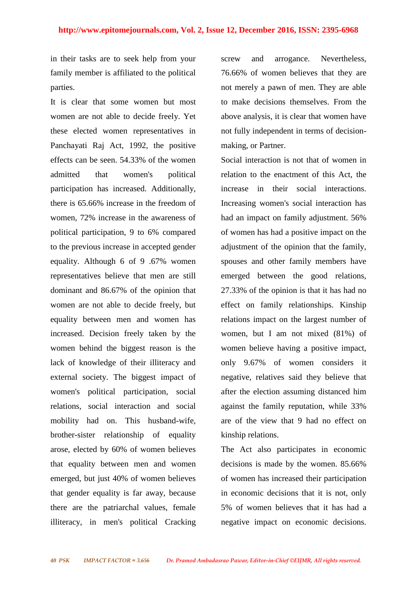in their tasks are to seek help from your family member is affiliated to the political parties.

It is clear that some women but most women are not able to decide freely. Yet these elected women representatives in Panchayati Raj Act, 1992, the positive effects can be seen. 54.33% of the women admitted that women's political participation has increased. Additionally, there is 65.66% increase in the freedom of women, 72% increase in the awareness of political participation, 9 to 6% compared to the previous increase in accepted gender equality. Although 6 of 9 .67% women representatives believe that men are still dominant and 86.67% of the opinion that women are not able to decide freely, but equality between men and women has increased. Decision freely taken by the women behind the biggest reason is the lack of knowledge of their illiteracy and external society. The biggest impact of women's political participation, social relations, social interaction and social mobility had on. This husband-wife, brother-sister relationship of equality arose, elected by 60% of women believes that equality between men and women emerged, but just 40% of women believes that gender equality is far away, because there are the patriarchal values, female illiteracy, in men's political Cracking

screw and arrogance. Nevertheless, 76.66% of women believes that they are not merely a pawn of men. They are able to make decisions themselves. From the above analysis, it is clear that women have not fully independent in terms of decisionmaking, or Partner.

Social interaction is not that of women in relation to the enactment of this Act, the increase in their social interactions. Increasing women's social interaction has had an impact on family adjustment. 56% of women has had a positive impact on the adjustment of the opinion that the family, spouses and other family members have emerged between the good relations, 27.33% of the opinion is that it has had no effect on family relationships. Kinship relations impact on the largest number of women, but I am not mixed (81%) of women believe having a positive impact, only 9.67% of women considers it negative, relatives said they believe that after the election assuming distanced him against the family reputation, while 33% are of the view that 9 had no effect on kinship relations.

The Act also participates in economic decisions is made by the women. 85.66% of women has increased their participation in economic decisions that it is not, only 5% of women believes that it has had a negative impact on economic decisions.